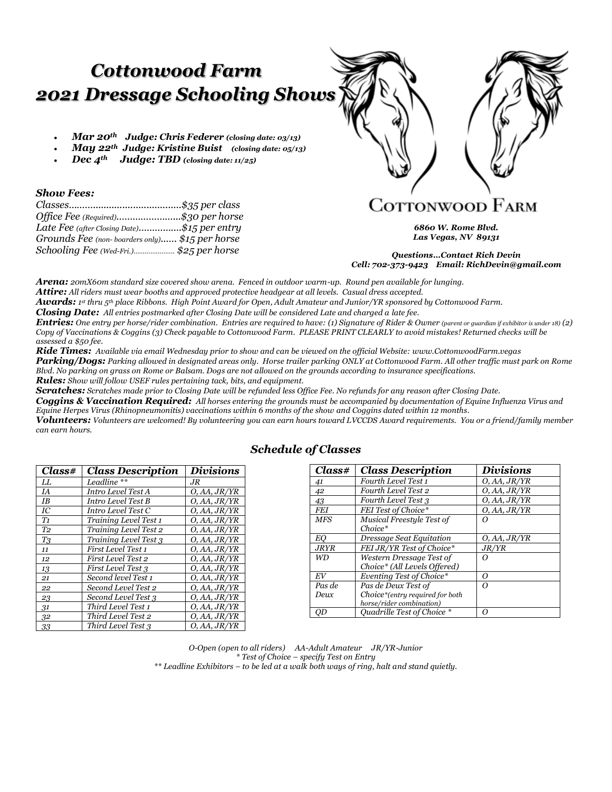# *Cottonwood Farm 2021 Dressage Schooling Shows*

- *Mar 20th Judge: Chris Federer (closing date: 03/13)*
- *May 22th Judge: Kristine Buist (closing date: 05/13)*
- *Dec 4th Judge: TBD (closing date: 11/25)*

### *Show Fees:*

| Office Fee (Required)\$30 per horse            |  |
|------------------------------------------------|--|
| Late Fee (after Closing Date)\$15 per entry    |  |
| Grounds Fee (non-boarders only) \$15 per horse |  |
| Schooling Fee (Wed-Fri.) \$25 per horse        |  |



*6860 W. Rome Blvd. Las Vegas, NV 89131*

*Questions…Contact Rich Devin Cell: 702-373-9423 Email: RichDevin@gmail.com*

*Arena: 20mX60m standard size covered show arena. Fenced in outdoor warm-up. Round pen available for lunging. Attire: All riders must wear booths and approved protective headgear at all levels. Casual dress accepted.*

*Awards: 1 st thru 5th place Ribbons. High Point Award for Open, Adult Amateur and Junior/YR sponsored by Cottonwood Farm.*

*Closing Date: All entries postmarked after Closing Date will be considered Late and charged a late fee.*

*Entries:* One entry per horse/rider combination. Entries are required to have: (1) Signature of Rider & Owner (parent or guardian if exhibitor is under 18) (2) *Copy of Vaccinations & Coggins (3) Check payable to Cottonwood Farm. PLEASE PRINT CLEARLY to avoid mistakes! Returned checks will be assessed a \$50 fee.*

*Ride Times: Available via email Wednesday prior to show and can be viewed on the official Website: www.CottonwoodFarm.vegas*

*Parking/Dogs: Parking allowed in designated areas only. Horse trailer parking ONLY at Cottonwood Farm. All other traffic must park on Rome Blvd. No parking on grass on Rome or Balsam. Dogs are not allowed on the grounds according to insurance specifications. Rules: Show will follow USEF rules pertaining tack, bits, and equipment.*

*Scratches: Scratches made prior to Closing Date will be refunded less Office Fee. No refunds for any reason after Closing Date.* 

*Coggins & Vaccination Required: All horses entering the grounds must be accompanied by documentation of Equine Influenza Virus and Equine Herpes Virus (Rhinopneumonitis) vaccinations within 6 months of the show and Coggins dated within 12 months.*

*Volunteers: Volunteers are welcomed! By volunteering you can earn hours toward LVCCDS Award requirements. You or a friend/family member can earn hours.* 

| Class#         | <b>Class Description</b>  | <i>Divisions</i> |
|----------------|---------------------------|------------------|
| LL             | Leadline **               | .JR              |
| <b>IA</b>      | Intro Level Test A        | O, AA, JR/YR     |
| <b>IB</b>      | Intro Level Test B        | O, AA, JR/YR     |
| IC             | Intro Level Test C        | O, AA, JR/YR     |
| T1             | Training Level Test 1     | O, AA, JR/YR     |
| T <sub>2</sub> | Training Level Test 2     | O, AA, JR/YR     |
| T <sub>3</sub> | Training Level Test 3     | O, AA, JR/YR     |
| 11             | First Level Test 1        | O, AA, JR/YR     |
| 12             | <b>First Level Test 2</b> | O, AA, JR/YR     |
| 13             | <b>First Level Test 3</b> | O, AA, JR/YR     |
| 21             | Second level Test 1       | O, AA, JR/YR     |
| 22             | Second Level Test 2       | O, AA, JR/YR     |
| 23             | Second Level Test 3       | O, AA, JR/YR     |
| 31             | Third Level Test 1        | O, AA, JR/YR     |
| 32             | Third Level Test 2        | O, AA, JR/YR     |
| 33             | Third Level Test 3        | O, AA, JR/YR     |

### *Schedule of Classes*

| Class#      | <b>Class Description</b>        | <i>Divisions</i> |
|-------------|---------------------------------|------------------|
| 41          | Fourth Level Test 1             | O, AA, JR/YR     |
| 42          | Fourth Level Test 2             | O, AA, JR/YR     |
| 43          | Fourth Level Test 3             | O, AA, JR/YR     |
| <b>FEI</b>  | FEI Test of Choice*             | O, AA, JR/YR     |
| <b>MFS</b>  | Musical Freestyle Test of       |                  |
|             | $Choice*$                       |                  |
| EО          | Dressage Seat Equitation        | O, AA, JR/YR     |
| <b>JRYR</b> | FEI JR/YR Test of Choice*       | J R/Y R          |
| WD          | Western Dressage Test of        | Ω                |
|             | Choice* (All Levels Offered)    |                  |
| EV          | Eventing Test of Choice*        | Ω                |
| Pas de      | Pas de Deux Test of             | Ω                |
| Deux        | Choice*(entry required for both |                  |
|             | horse/rider combination)        |                  |
| <i>OD</i>   | Ouadrille Test of Choice *      | Ω                |

*O-Open (open to all riders) AA-Adult Amateur JR/YR-Junior \* Test of Choice – specify Test on Entry \*\* Leadline Exhibitors – to be led at a walk both ways of ring, halt and stand quietly.*